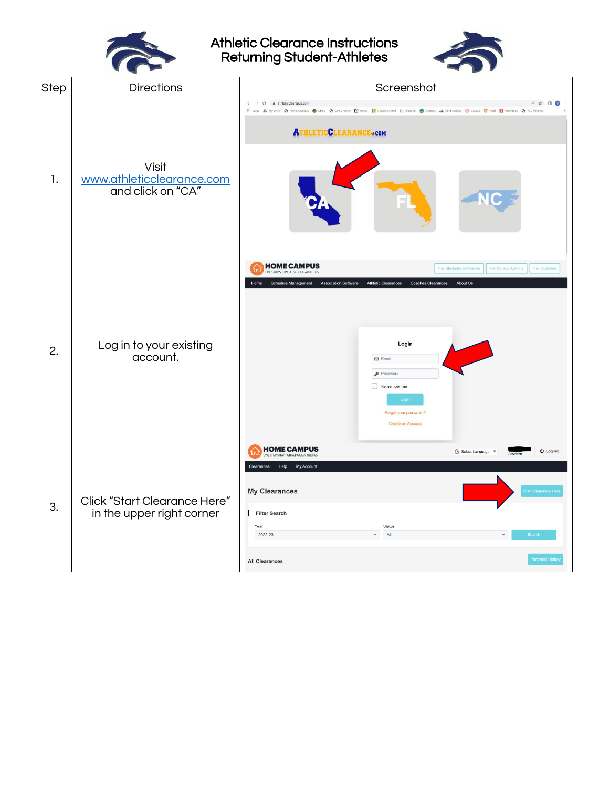

Athletic Clearance Instructions Returning Student-Athletes



| Step | <b>Directions</b>                                                | Screenshot                                                                                                                                                                                                                                                                                                                                                                             |
|------|------------------------------------------------------------------|----------------------------------------------------------------------------------------------------------------------------------------------------------------------------------------------------------------------------------------------------------------------------------------------------------------------------------------------------------------------------------------|
| 1.   | Visit<br>www.athleticclearance.com<br>and click on "CA"          | $\leftarrow$ $\rightarrow$ C $\bullet$ athletic<br>dearance.com<br>☆ □●<br>El Apps & My Drive @ Home Campus @ CIFSS @ CIFSS Home RI Aeries <b>El</b> Chapman Mall   Stipend <b>@</b> Desmos an CPM Ebooks @ Camas C Hudi K MaxPreps @ PCL Athletics<br><b>ATHLETICCLEARANCE.com</b>                                                                                                    |
| 2.   | Log in to your existing<br>account.                              | <b>HOME CAMPUS</b><br>For School Admins<br>For Students & Parents<br>For Coaches<br>E STOP SHOP FOR SCHOOL ATHLETICS<br><b>Athletic Clearances</b><br>About Us<br><b>Schedule Management</b><br><b>Association Software</b><br><b>Coaches Clearances</b><br>Login<br>$\boxtimes$ Email<br>$\rho$ Password<br>$\Box$ Remember me<br>Login<br>Forgot your password?<br>Create an Account |
| 3.   | <b>Click "Start Clearance Here"</b><br>in the upper right corner | <b>HOME CAMPUS</b><br><b>U</b> Logout<br>G Select Language   V<br>ONE STOP SHOP FOR SCHOOL ATHLETICS<br>My Account<br>Help<br>Clearances<br><b>My Clearances</b><br>tart Clearance<br>Filter Search<br>Status<br>Year<br>All<br>2022-23<br><b>Search</b><br>urchase Hist<br><b>All Clearances</b>                                                                                      |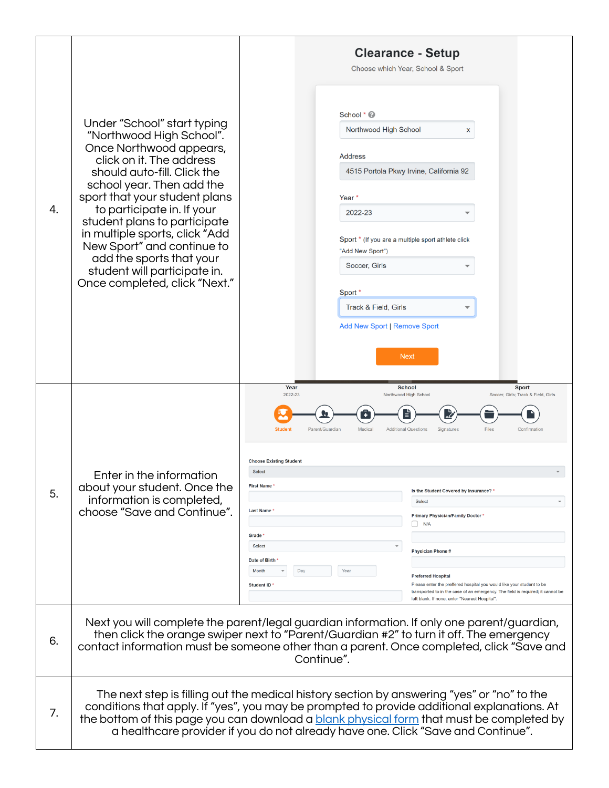| 4. | Under "School" start typing<br>"Northwood High School".<br>Once Northwood appears,<br>click on it. The address<br>should auto-fill. Click the<br>school year. Then add the<br>sport that your student plans<br>to participate in. If your<br>student plans to participate<br>in multiple sports, click "Add<br>New Sport" and continue to<br>add the sports that your<br>student will participate in.<br>Once completed, click "Next." | <b>Clearance - Setup</b><br>Choose which Year, School & Sport<br>School * 2<br>Northwood High School<br>x<br>Address<br>4515 Portola Pkwy Irvine, California 92<br>Year *<br>2022-23<br>Sport * (If you are a multiple sport athlete click<br>"Add New Sport")<br>Soccer, Girls<br>Sport *<br>Track & Field, Girls<br><b>Add New Sport   Remove Sport</b><br><b>Next</b>                                                                                                                                                                                                                                                                                                                                                                                                                                                                       |
|----|----------------------------------------------------------------------------------------------------------------------------------------------------------------------------------------------------------------------------------------------------------------------------------------------------------------------------------------------------------------------------------------------------------------------------------------|------------------------------------------------------------------------------------------------------------------------------------------------------------------------------------------------------------------------------------------------------------------------------------------------------------------------------------------------------------------------------------------------------------------------------------------------------------------------------------------------------------------------------------------------------------------------------------------------------------------------------------------------------------------------------------------------------------------------------------------------------------------------------------------------------------------------------------------------|
| 5. | Enter in the information<br>about your student. Once the<br>information is completed,<br>choose "Save and Continue".                                                                                                                                                                                                                                                                                                                   | Year<br><b>School</b><br><b>Sport</b><br>2022-23<br>Northwood High School<br>Soccer, Girls; Track & Field, Girls<br><b>Student</b><br>Parent/Guardian<br>Medical<br><b>Additional Questions</b><br>Signatures<br>Files<br>Confirmation<br><b>Choose Existing Student</b><br>Select<br><b>First Name</b><br>Is the Student Covered by Insurance?'<br>Select<br>$\overline{\phantom{a}}$<br><b>Last Name</b><br><b>Primary Physician/Family Doctor *</b><br>N/A<br><b>Grade</b><br>Select<br>$\overline{\mathbf v}$<br><b>Physician Phone #</b><br>Date of Birth<br>Day<br>Month<br>Yea<br><b>Preferred Hospital</b><br>Please enter the preffered hospital you would like your student to be<br>Student ID<br>transported to in the case of an emergency. The field is required; it cannot be<br>left blank. If none, enter "Nearest Hospital". |
| 6. |                                                                                                                                                                                                                                                                                                                                                                                                                                        | Next you will complete the parent/legal guardian information. If only one parent/guardian,<br>then click the orange swiper next to "Parent/Guardian #2" to turn it off. The emergency<br>contact information must be someone other than a parent. Once completed, click "Save and<br>Continue".                                                                                                                                                                                                                                                                                                                                                                                                                                                                                                                                                |
| 7. |                                                                                                                                                                                                                                                                                                                                                                                                                                        | The next step is filling out the medical history section by answering "yes" or "no" to the<br>conditions that apply. If "yes", you may be prompted to provide additional explanations. At<br>the bottom of this page you can download a <b>blank physical form</b> that must be completed by<br>a healthcare provider if you do not already have one. Click "Save and Continue".                                                                                                                                                                                                                                                                                                                                                                                                                                                               |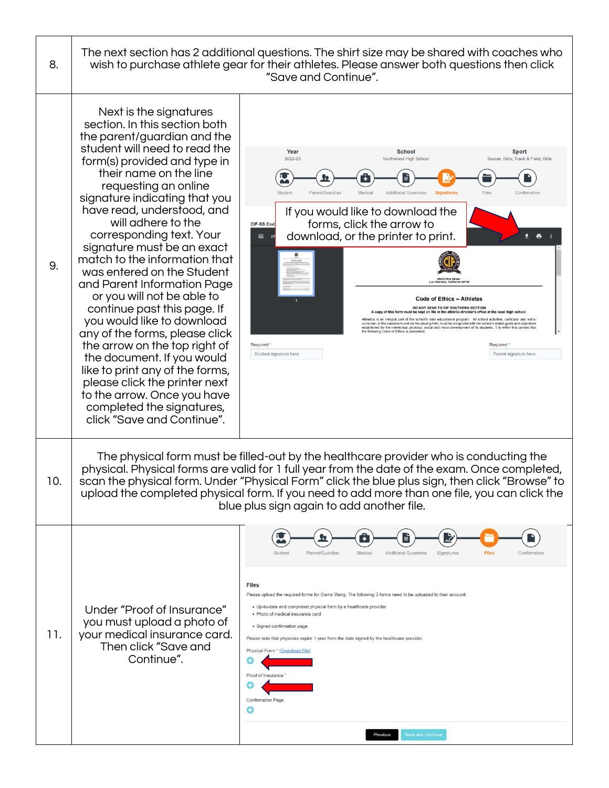| 8.  | The next section has 2 additional questions. The shirt size may be shared with coaches who<br>wish to purchase athlete gear for their athletes. Please answer both questions then click<br>"Save and Continue".                                                                                                                                                                                                                                                                                                                                                                                                                                                                                                                                                                                                  |                                                                                                                                                                                                                                                                                                                                                                                                                                                                                                                                                                                                                                                                                                                                                                                                                                                                                                                                                                                                                                                                                              |  |
|-----|------------------------------------------------------------------------------------------------------------------------------------------------------------------------------------------------------------------------------------------------------------------------------------------------------------------------------------------------------------------------------------------------------------------------------------------------------------------------------------------------------------------------------------------------------------------------------------------------------------------------------------------------------------------------------------------------------------------------------------------------------------------------------------------------------------------|----------------------------------------------------------------------------------------------------------------------------------------------------------------------------------------------------------------------------------------------------------------------------------------------------------------------------------------------------------------------------------------------------------------------------------------------------------------------------------------------------------------------------------------------------------------------------------------------------------------------------------------------------------------------------------------------------------------------------------------------------------------------------------------------------------------------------------------------------------------------------------------------------------------------------------------------------------------------------------------------------------------------------------------------------------------------------------------------|--|
| 9.  | Next is the signatures<br>section. In this section both<br>the parent/guardian and the<br>student will need to read the<br>form(s) provided and type in<br>their name on the line<br>requesting an online<br>signature indicating that you<br>have read, understood, and<br>will adhere to the<br>corresponding text. Your<br>signature must be an exact<br>match to the information that<br>was entered on the Student<br>and Parent Information Page<br>or you will not be able to<br>continue past this page. If<br>you would like to download<br>any of the forms, please click<br>the arrow on the top right of<br>the document. If you would<br>like to print any of the forms,<br>please click the printer next<br>to the arrow. Once you have<br>completed the signatures,<br>click "Save and Continue". | Year<br><b>School</b><br>Sport<br>2022-23<br>Northwood High School<br>Soccer, Girls; Track & Field, Girls<br>Files<br>Studen<br>Parent/Guardian<br>Medical<br><b>Additional Questions</b><br><b>Signatures</b><br>Confirmation<br>If you would like to download the<br>forms, click the arrow to<br>CIF-SS Code<br>download, or the printer to print.<br>$\equiv$<br>$\ddot{\phantom{1}}$<br><b>Code of Ethics - Athletes</b><br>DO NOT SEND TO CIF SOUTHERN SECTION<br>A copy of this form must be kept on file in the athletic director's office at the local high schoo<br>stics is an integral part of the school's total educational program. All school activities, curricular and extra-<br>curricular, in the classroom and on the playing field, must be congruent with the school's stated goals and objectives<br>established for the intellectual, physical, social and moral development of its students. It is within this context that<br>the following Code of Ethics is presented<br>Required <sup>®</sup><br>Required '<br>Student signature here<br>Parent signature here |  |
| 10. | The physical form must be filled-out by the healthcare provider who is conducting the<br>physical. Physical forms are valid for 1 full year from the date of the exam. Once completed,<br>scan the physical form. Under "Physical Form" click the blue plus sign, then click "Browse" to<br>upload the completed physical form. If you need to add more than one file, you can click the<br>blue plus sign again to add another file.                                                                                                                                                                                                                                                                                                                                                                            |                                                                                                                                                                                                                                                                                                                                                                                                                                                                                                                                                                                                                                                                                                                                                                                                                                                                                                                                                                                                                                                                                              |  |
| 11. | Under "Proof of Insurance"<br>you must upload a photo of<br>your medical insurance card.<br>Then click "Save and<br>Continue".                                                                                                                                                                                                                                                                                                                                                                                                                                                                                                                                                                                                                                                                                   | Parent/Guardian<br>Medical<br><b>Additional Questions</b><br><b>Files</b><br>Student<br>Signatures<br>Confirmation<br><b>Files</b><br>Please upload the required forms for Sierra Wang. The following 3 forms need to be uploaded to their account:<br>· Up-to-date and completed physical form by a healthcare provider<br>· Photo of medical insurance card<br>· Signed confirmation page<br>Please note that physicals expire 1 year from the date signed by the healthcare provider.<br>Physical Form * (Download File)<br>Proof of Insurance "<br><b>Confirmation Page</b><br>G<br>Save and Continue<br>Previous                                                                                                                                                                                                                                                                                                                                                                                                                                                                        |  |